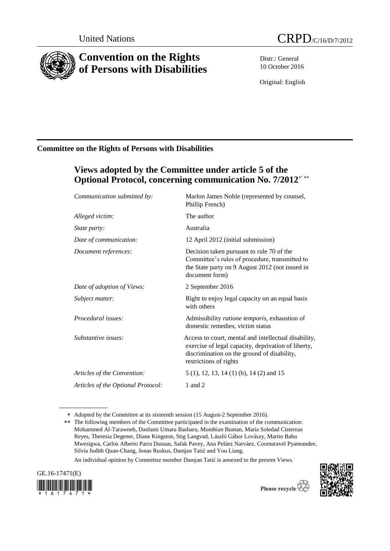

# **Convention on the Rights of Persons with Disabilities**

Distr.: General 10 October 2016

Original: English

## **Committee on the Rights of Persons with Disabilities**

## **Views adopted by the Committee under article 5 of the Optional Protocol, concerning communication No. 7/2012** ,

| Communication submitted by:        | Marlon James Noble (represented by counsel,<br>Phillip French)                                                                                                                       |
|------------------------------------|--------------------------------------------------------------------------------------------------------------------------------------------------------------------------------------|
| Alleged victim:                    | The author                                                                                                                                                                           |
| <i>State party:</i>                | Australia                                                                                                                                                                            |
| Date of communication:             | 12 April 2012 (initial submission)                                                                                                                                                   |
| Document references:               | Decision taken pursuant to rule 70 of the<br>Committee's rules of procedure, transmitted to<br>the State party on 9 August 2012 (not issued in<br>document form)                     |
| Date of adoption of Views:         | 2 September 2016                                                                                                                                                                     |
| Subject matter:                    | Right to enjoy legal capacity on an equal basis<br>with others                                                                                                                       |
| Procedural issues:                 | Admissibility ratione temporis, exhaustion of<br>domestic remedies, victim status                                                                                                    |
| Substantive issues:                | Access to court, mental and intellectual disability,<br>exercise of legal capacity, deprivation of liberty,<br>discrimination on the ground of disability,<br>restrictions of rights |
| Articles of the Convention:        | 5 (1), 12, 13, 14 (1) (b), 14 (2) and 15                                                                                                                                             |
| Articles of the Optional Protocol: | 1 and 2                                                                                                                                                                              |

Adopted by the Committee at its sixteenth session (15 August-2 September 2016).

An individual opinion by Committee member Damjan Tatić is annexed to the present Views.



Please recycle  $\overleftrightarrow{C}$ 



<sup>\*\*</sup> The following members of the Committee participated in the examination of the communication: [Mohammed Al-Tarawneh,](http://www2.ohchr.org/SPdocs/CRPD/CVMembers/MohammedAL-TARAWNEH.doc) Danlami Umaru Basharu, Monthian Buntan, María [Soledad Cisternas](http://www2.ohchr.org/SPdocs/CRPD/CVMembers/MariaSoledadCISTERNAS-REYES.doc)  [Reyes,](http://www2.ohchr.org/SPdocs/CRPD/CVMembers/MariaSoledadCISTERNAS-REYES.doc) Theresia Degener, Diane Kingston, Stig Langvad, László Gábor Lovászy, Martin Babu Mwesigwa, [Carlos](http://www2.ohchr.org/SPdocs/CRPD/CVMembers/CarlosRiosESPINOSA.doc) Alberto Parra Dussan, Safak Pavey, Ana Peláez Narváez, Coomaravel Pyaneandee, [Silvia Judith Quan-Chang,](http://www2.ohchr.org/SPdocs/CRPD/CVMembers/SilviaJudithQUAN-CHANG.doc) Jonas Ruskus[, Damjan Tatić](http://www2.ohchr.org/SPdocs/CRPD/CVMembers/DamjanTATIC.doc) and You Liang.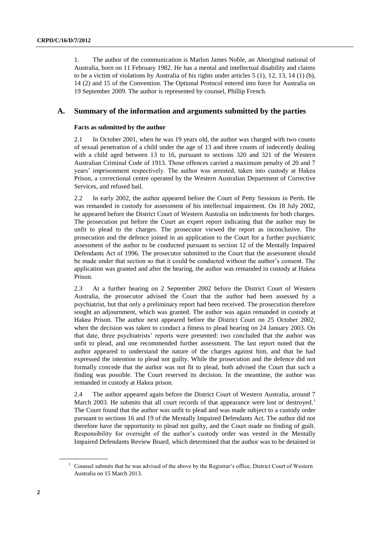1. The author of the communication is Marlon James Noble, an Aboriginal national of Australia, born on 11 February 1982. He has a mental and intellectual disability and claims to be a victim of violations by Australia of his rights under articles 5 (1), 12, 13, 14 (1) (b), 14 (2) and 15 of the Convention. The Optional Protocol entered into force for Australia on 19 September 2009. The author is represented by counsel, Phillip French.

### **A. Summary of the information and arguments submitted by the parties**

#### **Facts as submitted by the author**

2.1 In October 2001, when he was 19 years old, the author was charged with two counts of sexual penetration of a child under the age of 13 and three counts of indecently dealing with a child aged between 13 to 16, pursuant to sections 320 and 321 of the Western Australian Criminal Code of 1913. Those offences carried a maximum penalty of 20 and 7 years' imprisonment respectively. The author was arrested, taken into custody at Hakea Prison, a correctional centre operated by the Western Australian Department of Corrective Services, and refused bail.

2.2 In early 2002, the author appeared before the Court of Petty Sessions in Perth. He was remanded in custody for assessment of his intellectual impairment. On 18 July 2002, he appeared before the District Court of Western Australia on indictments for both charges. The prosecution put before the Court an expert report indicating that the author may be unfit to plead to the charges. The prosecutor viewed the report as inconclusive. The prosecution and the defence joined in an application to the Court for a further psychiatric assessment of the author to be conducted pursuant to section 12 of the Mentally Impaired Defendants Act of 1996. The prosecutor submitted to the Court that the assessment should be made under that section so that it could be conducted without the author's consent. The application was granted and after the hearing, the author was remanded in custody at Hakea Prison.

2.3 At a further hearing on 2 September 2002 before the District Court of Western Australia, the prosecutor advised the Court that the author had been assessed by a psychiatrist, but that only a preliminary report had been received. The prosecution therefore sought an adjournment, which was granted. The author was again remanded in custody at Hakea Prison. The author next appeared before the District Court on 25 October 2002, when the decision was taken to conduct a fitness to plead hearing on 24 January 2003. On that date, three psychiatrists' reports were presented: two concluded that the author was unfit to plead, and one recommended further assessment. The last report noted that the author appeared to understand the nature of the charges against him, and that he had expressed the intention to plead not guilty. While the prosecution and the defence did not formally concede that the author was not fit to plead, both advised the Court that such a finding was possible. The Court reserved its decision. In the meantime, the author was remanded in custody at Hakea prison.

2.4 The author appeared again before the District Court of Western Australia, around 7 March 2003. He submits that all court records of that appearance were lost or destroyed.<sup>1</sup> The Court found that the author was unfit to plead and was made subject to a custody order pursuant to sections 16 and 19 of the Mentally Impaired Defendants Act. The author did not therefore have the opportunity to plead not guilty, and the Court made no finding of guilt. Responsibility for oversight of the author's custody order was vested in the Mentally Impaired Defendants Review Board, which determined that the author was to be detained in

<sup>&</sup>lt;sup>1</sup> Counsel submits that he was advised of the above by the Registrar's office, District Court of Western Australia on 15 March 2013.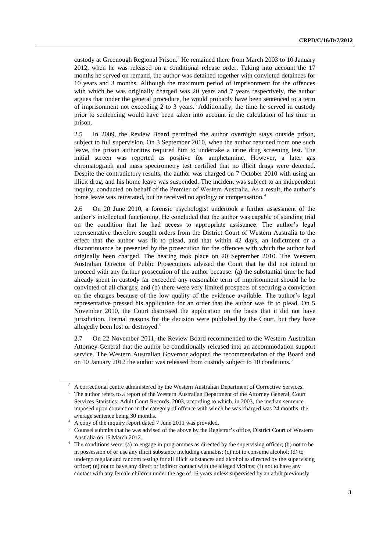custody at Greenough Regional Prison.<sup>2</sup> He remained there from March 2003 to 10 January 2012, when he was released on a conditional release order. Taking into account the 17 months he served on remand, the author was detained together with convicted detainees for 10 years and 3 months. Although the maximum period of imprisonment for the offences with which he was originally charged was 20 years and 7 years respectively, the author argues that under the general procedure, he would probably have been sentenced to a term of imprisonment not exceeding 2 to 3 years.<sup>3</sup> Additionally, the time he served in custody prior to sentencing would have been taken into account in the calculation of his time in prison.

2.5 In 2009, the Review Board permitted the author overnight stays outside prison, subject to full supervision. On 3 September 2010, when the author returned from one such leave, the prison authorities required him to undertake a urine drug screening test. The initial screen was reported as positive for amphetamine. However, a later gas chromatograph and mass spectrometry test certified that no illicit drugs were detected. Despite the contradictory results, the author was charged on 7 October 2010 with using an illicit drug, and his home leave was suspended. The incident was subject to an independent inquiry, conducted on behalf of the Premier of Western Australia. As a result, the author's home leave was reinstated, but he received no apology or compensation.<sup>4</sup>

2.6 On 20 June 2010, a forensic psychologist undertook a further assessment of the author's intellectual functioning. He concluded that the author was capable of standing trial on the condition that he had access to appropriate assistance. The author's legal representative therefore sought orders from the District Court of Western Australia to the effect that the author was fit to plead, and that within 42 days, an indictment or a discontinuance be presented by the prosecution for the offences with which the author had originally been charged. The hearing took place on 20 September 2010. The Western Australian Director of Public Prosecutions advised the Court that he did not intend to proceed with any further prosecution of the author because: (a) the substantial time he had already spent in custody far exceeded any reasonable term of imprisonment should he be convicted of all charges; and (b) there were very limited prospects of securing a conviction on the charges because of the low quality of the evidence available. The author's legal representative pressed his application for an order that the author was fit to plead. On 5 November 2010, the Court dismissed the application on the basis that it did not have jurisdiction. Formal reasons for the decision were published by the Court, but they have allegedly been lost or destroyed.<sup>5</sup>

2.7 On 22 November 2011, the Review Board recommended to the Western Australian Attorney-General that the author be conditionally released into an accommodation support service. The Western Australian Governor adopted the recommendation of the Board and on 10 January 2012 the author was released from custody subject to 10 conditions.<sup>6</sup>

<sup>2</sup> A correctional centre administered by the Western Australian Department of Corrective Services.

<sup>3</sup> The author refers to a report of the Western Australian Department of the Attorney General, Court Services Statistics: Adult Court Records, 2003, according to which, in 2003, the median sentence imposed upon conviction in the category of offence with which he was charged was 24 months, the average sentence being 30 months.

<sup>4</sup> A copy of the inquiry report dated 7 June 2011 was provided.

<sup>5</sup> Counsel submits that he was advised of the above by the Registrar's office, District Court of Western Australia on 15 March 2012.

<sup>6</sup> The conditions were: (a) to engage in programmes as directed by the supervising officer; (b) not to be in possession of or use any illicit substance including cannabis; (c) not to consume alcohol; (d) to undergo regular and random testing for all illicit substances and alcohol as directed by the supervising officer; (e) not to have any direct or indirect contact with the alleged victims; (f) not to have any contact with any female children under the age of 16 years unless supervised by an adult previously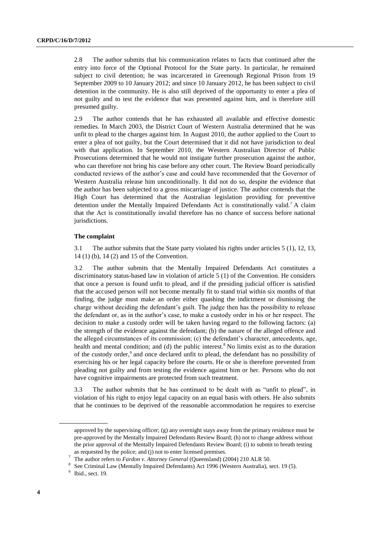2.8 The author submits that his communication relates to facts that continued after the entry into force of the Optional Protocol for the State party. In particular, he remained subject to civil detention; he was incarcerated in Greenough Regional Prison from 19 September 2009 to 10 January 2012; and since 10 January 2012, he has been subject to civil detention in the community. He is also still deprived of the opportunity to enter a plea of not guilty and to test the evidence that was presented against him, and is therefore still presumed guilty.

2.9 The author contends that he has exhausted all available and effective domestic remedies. In March 2003, the District Court of Western Australia determined that he was unfit to plead to the charges against him. In August 2010, the author applied to the Court to enter a plea of not guilty, but the Court determined that it did not have jurisdiction to deal with that application. In September 2010, the Western Australian Director of Public Prosecutions determined that he would not instigate further prosecution against the author, who can therefore not bring his case before any other court. The Review Board periodically conducted reviews of the author's case and could have recommended that the Governor of Western Australia release him unconditionally. It did not do so, despite the evidence that the author has been subjected to a gross miscarriage of justice. The author contends that the High Court has determined that the Australian legislation providing for preventive detention under the Mentally Impaired Defendants Act is constitutionally valid.<sup>7</sup> A claim that the Act is constitutionally invalid therefore has no chance of success before national jurisdictions.

#### **The complaint**

3.1 The author submits that the State party violated his rights under articles 5 (1), 12, 13, 14 (1) (b), 14 (2) and 15 of the Convention.

3.2 The author submits that the Mentally Impaired Defendants Act constitutes a discriminatory status-based law in violation of article 5 (1) of the Convention. He considers that once a person is found unfit to plead, and if the presiding judicial officer is satisfied that the accused person will not become mentally fit to stand trial within six months of that finding, the judge must make an order either quashing the indictment or dismissing the charge without deciding the defendant's guilt. The judge then has the possibility to release the defendant or, as in the author's case, to make a custody order in his or her respect. The decision to make a custody order will be taken having regard to the following factors: (a) the strength of the evidence against the defendant; (b) the nature of the alleged offence and the alleged circumstances of its commission; (c) the defendant's character, antecedents, age, health and mental condition; and (d) the public interest.<sup>8</sup> No limits exist as to the duration of the custody order,<sup>9</sup> and once declared unfit to plead, the defendant has no possibility of exercising his or her legal capacity before the courts. He or she is therefore prevented from pleading not guilty and from testing the evidence against him or her. Persons who do not have cognitive impairments are protected from such treatment.

3.3 The author submits that he has continued to be dealt with as "unfit to plead", in violation of his right to enjoy legal capacity on an equal basis with others. He also submits that he continues to be deprived of the reasonable accommodation he requires to exercise

approved by the supervising officer; (g) any overnight stays away from the primary residence must be pre-approved by the Mentally Impaired Defendants Review Board; (h) not to change address without the prior approval of the Mentally Impaired Defendants Review Board; (i) to submit to breath testing as requested by the police; and (j) not to enter licensed premises.

<sup>7</sup> The author refers to *Fardon v. Attorney General* (Queensland) (2004) 210 ALR 50.

<sup>8</sup> See Criminal Law (Mentally Impaired Defendants) Act 1996 (Western Australia), sect. 19 (5).

 $9$  Ibid., sect. 19.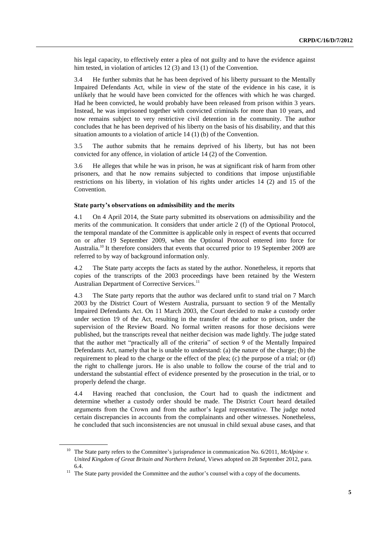his legal capacity, to effectively enter a plea of not guilty and to have the evidence against him tested, in violation of articles 12 (3) and 13 (1) of the Convention.

3.4 He further submits that he has been deprived of his liberty pursuant to the Mentally Impaired Defendants Act, while in view of the state of the evidence in his case, it is unlikely that he would have been convicted for the offences with which he was charged. Had he been convicted, he would probably have been released from prison within 3 years. Instead, he was imprisoned together with convicted criminals for more than 10 years, and now remains subject to very restrictive civil detention in the community. The author concludes that he has been deprived of his liberty on the basis of his disability, and that this situation amounts to a violation of article 14 (1) (b) of the Convention.

3.5 The author submits that he remains deprived of his liberty, but has not been convicted for any offence, in violation of article 14 (2) of the Convention.

3.6 He alleges that while he was in prison, he was at significant risk of harm from other prisoners, and that he now remains subjected to conditions that impose unjustifiable restrictions on his liberty, in violation of his rights under articles 14 (2) and 15 of the Convention.

#### **State party's observations on admissibility and the merits**

4.1 On 4 April 2014, the State party submitted its observations on admissibility and the merits of the communication. It considers that under article 2 (f) of the Optional Protocol, the temporal mandate of the Committee is applicable only in respect of events that occurred on or after 19 September 2009, when the Optional Protocol entered into force for Australia.<sup>10</sup> It therefore considers that events that occurred prior to 19 September 2009 are referred to by way of background information only.

4.2 The State party accepts the facts as stated by the author. Nonetheless, it reports that copies of the transcripts of the 2003 proceedings have been retained by the Western Australian Department of Corrective Services.<sup>11</sup>

4.3 The State party reports that the author was declared unfit to stand trial on 7 March 2003 by the District Court of Western Australia, pursuant to section 9 of the Mentally Impaired Defendants Act. On 11 March 2003, the Court decided to make a custody order under section 19 of the Act, resulting in the transfer of the author to prison, under the supervision of the Review Board. No formal written reasons for those decisions were published, but the transcripts reveal that neither decision was made lightly. The judge stated that the author met "practically all of the criteria" of section 9 of the Mentally Impaired Defendants Act, namely that he is unable to understand: (a) the nature of the charge; (b) the requirement to plead to the charge or the effect of the plea; (c) the purpose of a trial; or (d) the right to challenge jurors. He is also unable to follow the course of the trial and to understand the substantial effect of evidence presented by the prosecution in the trial, or to properly defend the charge.

4.4 Having reached that conclusion, the Court had to quash the indictment and determine whether a custody order should be made. The District Court heard detailed arguments from the Crown and from the author's legal representative. The judge noted certain discrepancies in accounts from the complainants and other witnesses. Nonetheless, he concluded that such inconsistencies are not unusual in child sexual abuse cases, and that

<sup>&</sup>lt;sup>10</sup> The State party refers to the Committee's jurisprudence in communication No. 6/2011, *McAlpine v*. *United Kingdom of Great Britain and Northern Ireland*, Views adopted on 28 September 2012, para. 6.4.

 $11$  The State party provided the Committee and the author's counsel with a copy of the documents.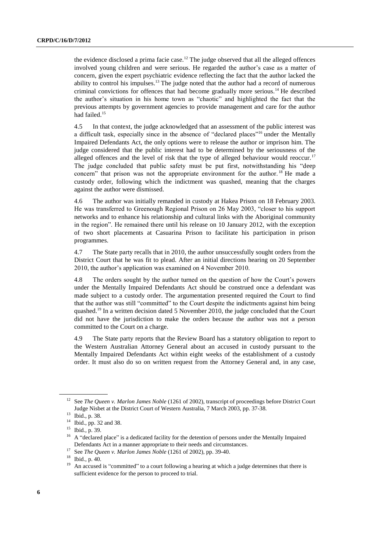the evidence disclosed a prima facie case.<sup>12</sup> The judge observed that all the alleged offences involved young children and were serious. He regarded the author's case as a matter of concern, given the expert psychiatric evidence reflecting the fact that the author lacked the ability to control his impulses.<sup>13</sup> The judge noted that the author had a record of numerous criminal convictions for offences that had become gradually more serious.<sup>14</sup> He described the author's situation in his home town as "chaotic" and highlighted the fact that the previous attempts by government agencies to provide management and care for the author had failed.<sup>15</sup>

4.5 In that context, the judge acknowledged that an assessment of the public interest was a difficult task, especially since in the absence of "declared places"<sup>16</sup> under the Mentally Impaired Defendants Act, the only options were to release the author or imprison him. The judge considered that the public interest had to be determined by the seriousness of the alleged offences and the level of risk that the type of alleged behaviour would reoccur.<sup>17</sup> The judge concluded that public safety must be put first, notwithstanding his "deep concern" that prison was not the appropriate environment for the author. <sup>18</sup> He made a custody order, following which the indictment was quashed, meaning that the charges against the author were dismissed.

4.6 The author was initially remanded in custody at Hakea Prison on 18 February 2003. He was transferred to Greenough Regional Prison on 26 May 2003, "closer to his support networks and to enhance his relationship and cultural links with the Aboriginal community in the region". He remained there until his release on 10 January 2012, with the exception of two short placements at Casuarina Prison to facilitate his participation in prison programmes.

4.7 The State party recalls that in 2010, the author unsuccessfully sought orders from the District Court that he was fit to plead. After an initial directions hearing on 20 September 2010, the author's application was examined on 4 November 2010.

4.8 The orders sought by the author turned on the question of how the Court's powers under the Mentally Impaired Defendants Act should be construed once a defendant was made subject to a custody order. The argumentation presented required the Court to find that the author was still "committed" to the Court despite the indictments against him being quashed.<sup>19</sup> In a written decision dated 5 November 2010, the judge concluded that the Court did not have the jurisdiction to make the orders because the author was not a person committed to the Court on a charge.

4.9 The State party reports that the Review Board has a statutory obligation to report to the Western Australian Attorney General about an accused in custody pursuant to the Mentally Impaired Defendants Act within eight weeks of the establishment of a custody order. It must also do so on written request from the Attorney General and, in any case,

<sup>12</sup> See *The Queen v. Marlon James Noble* (1261 of 2002), transcript of proceedings before District Court Judge Nisbet at the District Court of Western Australia, 7 March 2003, pp. 37-38.

<sup>13</sup> Ibid., p. 38.

<sup>14</sup> Ibid., pp. 32 and 38.

<sup>&</sup>lt;sup>15</sup> Ibid., p. 39.

<sup>16</sup> A "declared place" is a dedicated facility for the detention of persons under the Mentally Impaired Defendants Act in a manner appropriate to their needs and circumstances.

<sup>17</sup> See *The Queen v. Marlon James Noble* (1261 of 2002), pp. 39-40.

<sup>18</sup> Ibid., p. 40.

<sup>&</sup>lt;sup>19</sup> An accused is "committed" to a court following a hearing at which a judge determines that there is sufficient evidence for the person to proceed to trial.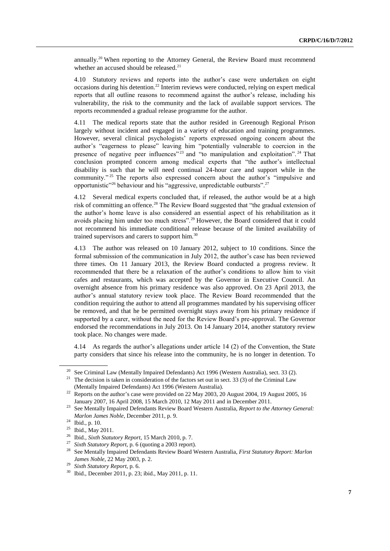annually.<sup>20</sup> When reporting to the Attorney General, the Review Board must recommend whether an accused should be released.<sup>21</sup>

4.10 Statutory reviews and reports into the author's case were undertaken on eight  $occasions during his detection.<sup>22</sup> Interim reviews were conducted, relying on expert medical$ reports that all outline reasons to recommend against the author's release, including his vulnerability, the risk to the community and the lack of available support services. The reports recommended a gradual release programme for the author.

4.11 The medical reports state that the author resided in Greenough Regional Prison largely without incident and engaged in a variety of education and training programmes. However, several clinical psychologists' reports expressed ongoing concern about the author's "eagerness to please" leaving him "potentially vulnerable to coercion in the presence of negative peer influences<sup>"23</sup> and "to manipulation and exploitation".<sup>24</sup> That conclusion prompted concern among medical experts that "the author's intellectual disability is such that he will need continual 24-hour care and support while in the community."<sup>25</sup> The reports also expressed concern about the author's "impulsive and opportunistic"<sup>26</sup> behaviour and his "aggressive, unpredictable outbursts".<sup>27</sup>

4.12 Several medical experts concluded that, if released, the author would be at a high risk of committing an offence.<sup>28</sup> The Review Board suggested that "the gradual extension of the author's home leave is also considered an essential aspect of his rehabilitation as it avoids placing him under too much stress".<sup>29</sup> However, the Board considered that it could not recommend his immediate conditional release because of the limited availability of trained supervisors and carers to support him. $30$ 

4.13 The author was released on 10 January 2012, subject to 10 conditions. Since the formal submission of the communication in July 2012, the author's case has been reviewed three times. On 11 January 2013, the Review Board conducted a progress review. It recommended that there be a relaxation of the author's conditions to allow him to visit cafes and restaurants, which was accepted by the Governor in Executive Council. An overnight absence from his primary residence was also approved. On 23 April 2013, the author's annual statutory review took place. The Review Board recommended that the condition requiring the author to attend all programmes mandated by his supervising officer be removed, and that he be permitted overnight stays away from his primary residence if supported by a carer, without the need for the Review Board's pre-approval. The Governor endorsed the recommendations in July 2013. On 14 January 2014, another statutory review took place. No changes were made.

4.14 As regards the author's allegations under article 14 (2) of the Convention, the State party considers that since his release into the community, he is no longer in detention. To

<sup>20</sup> See Criminal Law (Mentally Impaired Defendants) Act 1996 (Western Australia), sect. 33 (2).

<sup>&</sup>lt;sup>21</sup> The decision is taken in consideration of the factors set out in sect. 33 (3) of the Criminal Law (Mentally Impaired Defendants) Act 1996 (Western Australia).

<sup>&</sup>lt;sup>22</sup> Reports on the author's case were provided on 22 May 2003, 20 August 2004, 19 August 2005, 16 January 2007, 16 April 2008, 15 March 2010, 12 May 2011 and in December 2011.

<sup>23</sup> See Mentally Impaired Defendants Review Board Western Australia, *Report to the Attorney General: Marlon James Noble*, December 2011, p. 9.

<sup>24</sup> Ibid., p. 10.

<sup>&</sup>lt;sup>25</sup> Ibid., May 2011.

<sup>26</sup> Ibid., *Sixth Statutory Report*, 15 March 2010, p. 7.

<sup>&</sup>lt;sup>27</sup> *Sixth Statutory Report*, p. 6 (quoting a 2003 report).<br><sup>28</sup> See Montelly Impaired Defendants Beview Board W

<sup>28</sup> See Mentally Impaired Defendants Review Board Western Australia, *First Statutory Report: Marlon James Noble*, 22 May 2003, p. 2.

<sup>29</sup> *Sixth Statutory Report*, p. 6.

<sup>30</sup> Ibid., December 2011, p. 23; ibid., May 2011, p. 11.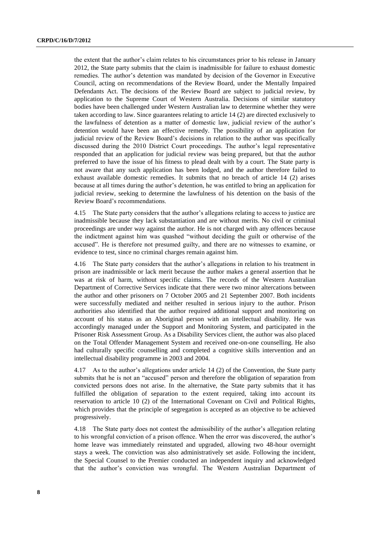the extent that the author's claim relates to his circumstances prior to his release in January 2012, the State party submits that the claim is inadmissible for failure to exhaust domestic remedies. The author's detention was mandated by decision of the Governor in Executive Council, acting on recommendations of the Review Board, under the Mentally Impaired Defendants Act. The decisions of the Review Board are subject to judicial review, by application to the Supreme Court of Western Australia. Decisions of similar statutory bodies have been challenged under Western Australian law to determine whether they were taken according to law. Since guarantees relating to article 14 (2) are directed exclusively to the lawfulness of detention as a matter of domestic law, judicial review of the author's detention would have been an effective remedy. The possibility of an application for judicial review of the Review Board's decisions in relation to the author was specifically discussed during the 2010 District Court proceedings. The author's legal representative responded that an application for judicial review was being prepared, but that the author preferred to have the issue of his fitness to plead dealt with by a court. The State party is not aware that any such application has been lodged, and the author therefore failed to exhaust available domestic remedies. It submits that no breach of article 14 (2) arises because at all times during the author's detention, he was entitled to bring an application for judicial review, seeking to determine the lawfulness of his detention on the basis of the Review Board's recommendations.

4.15 The State party considers that the author's allegations relating to access to justice are inadmissible because they lack substantiation and are without merits. No civil or criminal proceedings are under way against the author. He is not charged with any offences because the indictment against him was quashed "without deciding the guilt or otherwise of the accused". He is therefore not presumed guilty, and there are no witnesses to examine, or evidence to test, since no criminal charges remain against him.

4.16 The State party considers that the author's allegations in relation to his treatment in prison are inadmissible or lack merit because the author makes a general assertion that he was at risk of harm, without specific claims. The records of the Western Australian Department of Corrective Services indicate that there were two minor altercations between the author and other prisoners on 7 October 2005 and 21 September 2007. Both incidents were successfully mediated and neither resulted in serious injury to the author. Prison authorities also identified that the author required additional support and monitoring on account of his status as an Aboriginal person with an intellectual disability. He was accordingly managed under the Support and Monitoring System, and participated in the Prisoner Risk Assessment Group. As a Disability Services client, the author was also placed on the Total Offender Management System and received one-on-one counselling. He also had culturally specific counselling and completed a cognitive skills intervention and an intellectual disability programme in 2003 and 2004.

4.17 As to the author's allegations under article 14 (2) of the Convention, the State party submits that he is not an "accused" person and therefore the obligation of separation from convicted persons does not arise. In the alternative, the State party submits that it has fulfilled the obligation of separation to the extent required, taking into account its reservation to article 10 (2) of the International Covenant on Civil and Political Rights, which provides that the principle of segregation is accepted as an objective to be achieved progressively.

4.18 The State party does not contest the admissibility of the author's allegation relating to his wrongful conviction of a prison offence. When the error was discovered, the author's home leave was immediately reinstated and upgraded, allowing two 48-hour overnight stays a week. The conviction was also administratively set aside. Following the incident, the Special Counsel to the Premier conducted an independent inquiry and acknowledged that the author's conviction was wrongful. The Western Australian Department of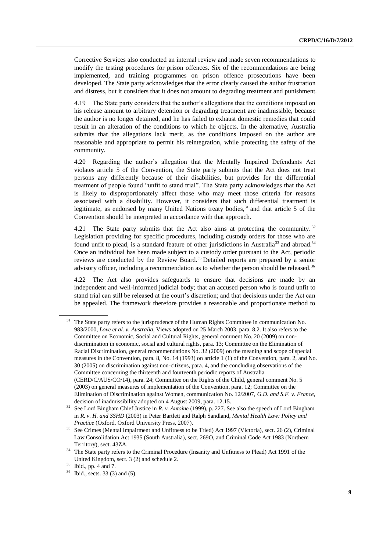Corrective Services also conducted an internal review and made seven recommendations to modify the testing procedures for prison offences. Six of the recommendations are being implemented, and training programmes on prison offence prosecutions have been developed. The State party acknowledges that the error clearly caused the author frustration and distress, but it considers that it does not amount to degrading treatment and punishment.

4.19 The State party considers that the author's allegations that the conditions imposed on his release amount to arbitrary detention or degrading treatment are inadmissible, because the author is no longer detained, and he has failed to exhaust domestic remedies that could result in an alteration of the conditions to which he objects. In the alternative, Australia submits that the allegations lack merit, as the conditions imposed on the author are reasonable and appropriate to permit his reintegration, while protecting the safety of the community.

4.20 Regarding the author's allegation that the Mentally Impaired Defendants Act violates article 5 of the Convention, the State party submits that the Act does not treat persons any differently because of their disabilities, but provides for the differential treatment of people found "unfit to stand trial". The State party acknowledges that the Act is likely to disproportionately affect those who may meet those criteria for reasons associated with a disability. However, it considers that such differential treatment is legitimate, as endorsed by many United Nations treaty bodies, $31$  and that article 5 of the Convention should be interpreted in accordance with that approach.

4.21 The State party submits that the Act also aims at protecting the community.<sup>32</sup> Legislation providing for specific procedures, including custody orders for those who are found unfit to plead, is a standard feature of other jurisdictions in Australia<sup>33</sup> and abroad.<sup>34</sup> Once an individual has been made subject to a custody order pursuant to the Act, periodic reviews are conducted by the Review Board.<sup>35</sup> Detailed reports are prepared by a senior advisory officer, including a recommendation as to whether the person should be released.<sup>36</sup>

4.22 The Act also provides safeguards to ensure that decisions are made by an independent and well-informed judicial body; that an accused person who is found unfit to stand trial can still be released at the court's discretion; and that decisions under the Act can be appealed. The framework therefore provides a reasonable and proportionate method to

<sup>&</sup>lt;sup>31</sup> The State party refers to the jurisprudence of the Human Rights Committee in communication No. 983/2000, *Love et al. v. Australia*, Views adopted on 25 March 2003, para. 8.2. It also refers to the Committee on Economic, Social and Cultural Rights, general comment No. 20 (2009) on nondiscrimination in economic, social and cultural rights, para. 13; Committee on the Elimination of Racial Discrimination, general recommendations No. 32 (2009) on the meaning and scope of special measures in the Convention, para. 8, No. 14 (1993) on article 1 (1) of the Convention, para. 2, and No. 30 (2005) on discrimination against non-citizens, para. 4, and the concluding observations of the Committee concerning the thirteenth and fourteenth periodic reports of Australia (CERD/C/AUS/CO/14), para. 24; Committee on the Rights of the Child, general comment No. 5 (2003) on general measures of implementation of the Convention, para. 12; Committee on the Elimination of Discrimination against Women, communication No. 12/2007, *G.D. and S.F. v. France*, decision of inadmissibility adopted on 4 August 2009, para. 12.15.

<sup>32</sup> See Lord Bingham Chief Justice in *R. v. Antoine* (1999), p. 227. See also the speech of Lord Bingham in *R. v. H. and SSHD* (2003) in Peter Bartlett and Ralph Sandland, *Mental Health Law: Policy and Practice* (Oxford, Oxford University Press, 2007).

<sup>33</sup> See Crimes (Mental Impairment and Unfitness to be Tried) Act 1997 (Victoria), sect. 26 (2), Criminal Law Consolidation Act 1935 (South Australia), sect. 269O, and Criminal Code Act 1983 (Northern Territory), sect. 43ZA.

<sup>&</sup>lt;sup>34</sup> The State party refers to the Criminal Procedure (Insanity and Unfitness to Plead) Act 1991 of the United Kingdom, sect. 3 (2) and schedule 2.

<sup>35</sup> Ibid., pp. 4 and 7.

<sup>36</sup> Ibid*.,* sects. 33 (3) and (5).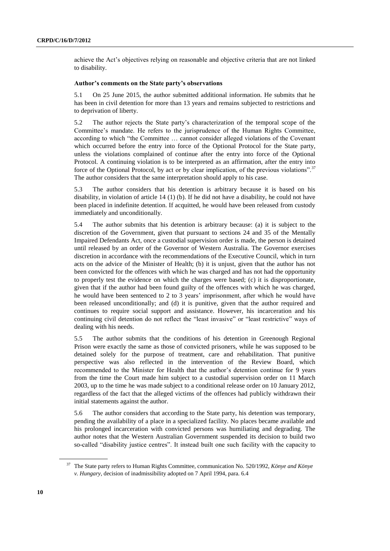achieve the Act's objectives relying on reasonable and objective criteria that are not linked to disability.

#### **Author's comments on the State party's observations**

5.1 On 25 June 2015, the author submitted additional information. He submits that he has been in civil detention for more than 13 years and remains subjected to restrictions and to deprivation of liberty.

5.2 The author rejects the State party's characterization of the temporal scope of the Committee's mandate. He refers to the jurisprudence of the Human Rights Committee, according to which "the Committee … cannot consider alleged violations of the Covenant which occurred before the entry into force of the Optional Protocol for the State party, unless the violations complained of continue after the entry into force of the Optional Protocol. A continuing violation is to be interpreted as an affirmation, after the entry into force of the Optional Protocol, by act or by clear implication, of the previous violations".<sup>37</sup> The author considers that the same interpretation should apply to his case.

5.3 The author considers that his detention is arbitrary because it is based on his disability, in violation of article 14 (1) (b). If he did not have a disability, he could not have been placed in indefinite detention. If acquitted, he would have been released from custody immediately and unconditionally.

5.4 The author submits that his detention is arbitrary because: (a) it is subject to the discretion of the Government, given that pursuant to sections 24 and 35 of the Mentally Impaired Defendants Act, once a custodial supervision order is made, the person is detained until released by an order of the Governor of Western Australia. The Governor exercises discretion in accordance with the recommendations of the Executive Council, which in turn acts on the advice of the Minister of Health; (b) it is unjust, given that the author has not been convicted for the offences with which he was charged and has not had the opportunity to properly test the evidence on which the charges were based; (c) it is disproportionate, given that if the author had been found guilty of the offences with which he was charged, he would have been sentenced to 2 to 3 years' imprisonment, after which he would have been released unconditionally; and (d) it is punitive, given that the author required and continues to require social support and assistance. However, his incarceration and his continuing civil detention do not reflect the "least invasive" or "least restrictive" ways of dealing with his needs.

5.5 The author submits that the conditions of his detention in Greenough Regional Prison were exactly the same as those of convicted prisoners, while he was supposed to be detained solely for the purpose of treatment, care and rehabilitation. That punitive perspective was also reflected in the intervention of the Review Board, which recommended to the Minister for Health that the author's detention continue for 9 years from the time the Court made him subject to a custodial supervision order on 11 March 2003, up to the time he was made subject to a conditional release order on 10 January 2012, regardless of the fact that the alleged victims of the offences had publicly withdrawn their initial statements against the author.

5.6 The author considers that according to the State party, his detention was temporary, pending the availability of a place in a specialized facility. No places became available and his prolonged incarceration with convicted persons was humiliating and degrading. The author notes that the Western Australian Government suspended its decision to build two so-called "disability justice centres". It instead built one such facility with the capacity to

<sup>37</sup> The State party refers to Human Rights Committee, communication No. 520/1992, *Könye and Könye v. Hungary*, decision of inadmissibility adopted on 7 April 1994, para. 6.4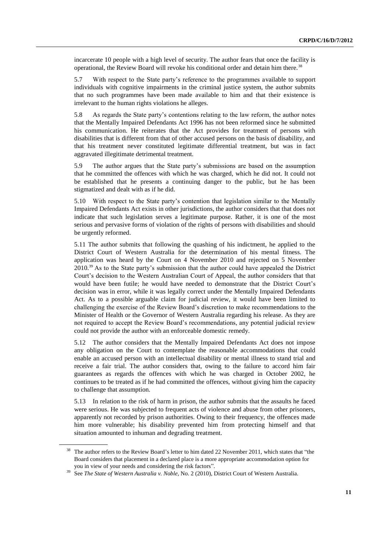incarcerate 10 people with a high level of security. The author fears that once the facility is operational, the Review Board will revoke his conditional order and detain him there.<sup>38</sup>

5.7 With respect to the State party's reference to the programmes available to support individuals with cognitive impairments in the criminal justice system, the author submits that no such programmes have been made available to him and that their existence is irrelevant to the human rights violations he alleges.

5.8 As regards the State party's contentions relating to the law reform, the author notes that the Mentally Impaired Defendants Act 1996 has not been reformed since he submitted his communication. He reiterates that the Act provides for treatment of persons with disabilities that is different from that of other accused persons on the basis of disability, and that his treatment never constituted legitimate differential treatment, but was in fact aggravated illegitimate detrimental treatment.

5.9 The author argues that the State party's submissions are based on the assumption that he committed the offences with which he was charged, which he did not. It could not be established that he presents a continuing danger to the public, but he has been stigmatized and dealt with as if he did.

5.10 With respect to the State party's contention that legislation similar to the Mentally Impaired Defendants Act exists in other jurisdictions, the author considers that that does not indicate that such legislation serves a legitimate purpose. Rather, it is one of the most serious and pervasive forms of violation of the rights of persons with disabilities and should be urgently reformed.

5.11 The author submits that following the quashing of his indictment, he applied to the District Court of Western Australia for the determination of his mental fitness. The application was heard by the Court on 4 November 2010 and rejected on 5 November 2010.<sup>39</sup> As to the State party's submission that the author could have appealed the District Court's decision to the Western Australian Court of Appeal, the author considers that that would have been futile; he would have needed to demonstrate that the District Court's decision was in error, while it was legally correct under the Mentally Impaired Defendants Act. As to a possible arguable claim for judicial review, it would have been limited to challenging the exercise of the Review Board's discretion to make recommendations to the Minister of Health or the Governor of Western Australia regarding his release. As they are not required to accept the Review Board's recommendations, any potential judicial review could not provide the author with an enforceable domestic remedy.

5.12 The author considers that the Mentally Impaired Defendants Act does not impose any obligation on the Court to contemplate the reasonable accommodations that could enable an accused person with an intellectual disability or mental illness to stand trial and receive a fair trial. The author considers that, owing to the failure to accord him fair guarantees as regards the offences with which he was charged in October 2002, he continues to be treated as if he had committed the offences, without giving him the capacity to challenge that assumption.

5.13 In relation to the risk of harm in prison, the author submits that the assaults he faced were serious. He was subjected to frequent acts of violence and abuse from other prisoners, apparently not recorded by prison authorities. Owing to their frequency, the offences made him more vulnerable; his disability prevented him from protecting himself and that situation amounted to inhuman and degrading treatment.

<sup>&</sup>lt;sup>38</sup> The author refers to the Review Board's letter to him dated 22 November 2011, which states that "the Board considers that placement in a declared place is a more appropriate accommodation option for you in view of your needs and considering the risk factors".

<sup>39</sup> See *The State of Western Australia v. Noble*, No. 2 (2010), District Court of Western Australia.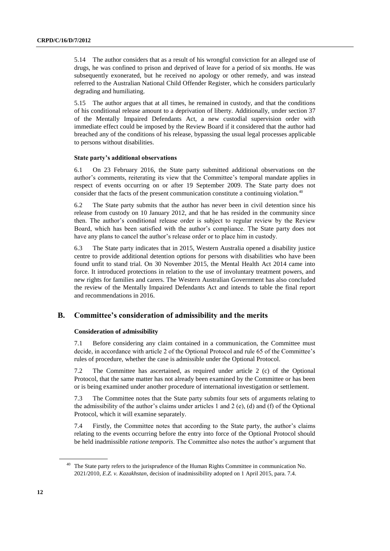5.14 The author considers that as a result of his wrongful conviction for an alleged use of drugs, he was confined to prison and deprived of leave for a period of six months. He was subsequently exonerated, but he received no apology or other remedy, and was instead referred to the Australian National Child Offender Register, which he considers particularly degrading and humiliating.

5.15 The author argues that at all times, he remained in custody, and that the conditions of his conditional release amount to a deprivation of liberty. Additionally, under section 37 of the Mentally Impaired Defendants Act, a new custodial supervision order with immediate effect could be imposed by the Review Board if it considered that the author had breached any of the conditions of his release, bypassing the usual legal processes applicable to persons without disabilities.

#### **State party's additional observations**

6.1 On 23 February 2016, the State party submitted additional observations on the author's comments, reiterating its view that the Committee's temporal mandate applies in respect of events occurring on or after 19 September 2009. The State party does not consider that the facts of the present communication constitute a continuing violation.<sup>40</sup>

6.2 The State party submits that the author has never been in civil detention since his release from custody on 10 January 2012, and that he has resided in the community since then. The author's conditional release order is subject to regular review by the Review Board, which has been satisfied with the author's compliance. The State party does not have any plans to cancel the author's release order or to place him in custody.

6.3 The State party indicates that in 2015, Western Australia opened a disability justice centre to provide additional detention options for persons with disabilities who have been found unfit to stand trial. On 30 November 2015, the Mental Health Act 2014 came into force. It introduced protections in relation to the use of involuntary treatment powers, and new rights for families and carers. The Western Australian Government has also concluded the review of the Mentally Impaired Defendants Act and intends to table the final report and recommendations in 2016.

### **B. Committee's consideration of admissibility and the merits**

#### **Consideration of admissibility**

7.1 Before considering any claim contained in a communication, the Committee must decide, in accordance with article 2 of the Optional Protocol and rule 65 of the Committee's rules of procedure, whether the case is admissible under the Optional Protocol.

7.2 The Committee has ascertained, as required under article 2 (c) of the Optional Protocol, that the same matter has not already been examined by the Committee or has been or is being examined under another procedure of international investigation or settlement.

7.3 The Committee notes that the State party submits four sets of arguments relating to the admissibility of the author's claims under articles 1 and 2 (e), (d) and (f) of the Optional Protocol, which it will examine separately.

7.4 Firstly, the Committee notes that according to the State party, the author's claims relating to the events occurring before the entry into force of the Optional Protocol should be held inadmissible *ratione temporis*. The Committee also notes the author's argument that

<sup>&</sup>lt;sup>40</sup> The State party refers to the jurisprudence of the Human Rights Committee in communication No. 2021/2010, *E.Z. v. Kazakhstan*, decision of inadmissibility adopted on 1 April 2015, para. 7.4.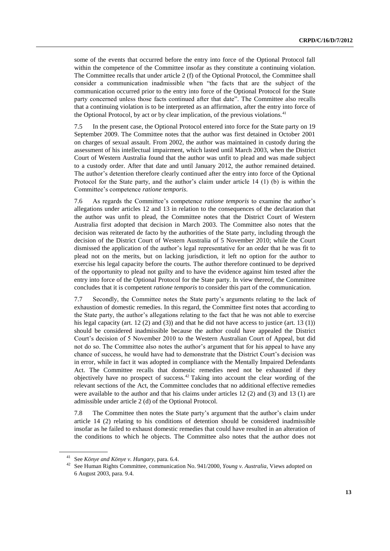some of the events that occurred before the entry into force of the Optional Protocol fall within the competence of the Committee insofar as they constitute a continuing violation. The Committee recalls that under article 2 (f) of the Optional Protocol, the Committee shall consider a communication inadmissible when "the facts that are the subject of the communication occurred prior to the entry into force of the Optional Protocol for the State party concerned unless those facts continued after that date". The Committee also recalls that a continuing violation is to be interpreted as an affirmation, after the entry into force of the Optional Protocol, by act or by clear implication, of the previous violations.<sup>41</sup>

7.5 In the present case, the Optional Protocol entered into force for the State party on 19 September 2009. The Committee notes that the author was first detained in October 2001 on charges of sexual assault. From 2002, the author was maintained in custody during the assessment of his intellectual impairment, which lasted until March 2003, when the District Court of Western Australia found that the author was unfit to plead and was made subject to a custody order. After that date and until January 2012, the author remained detained. The author's detention therefore clearly continued after the entry into force of the Optional Protocol for the State party, and the author's claim under article 14 (1) (b) is within the Committee's competence *ratione temporis*.

7.6 As regards the Committee's competence *ratione temporis* to examine the author's allegations under articles 12 and 13 in relation to the consequences of the declaration that the author was unfit to plead, the Committee notes that the District Court of Western Australia first adopted that decision in March 2003. The Committee also notes that the decision was reiterated de facto by the authorities of the State party, including through the decision of the District Court of Western Australia of 5 November 2010; while the Court dismissed the application of the author's legal representative for an order that he was fit to plead not on the merits, but on lacking jurisdiction, it left no option for the author to exercise his legal capacity before the courts. The author therefore continued to be deprived of the opportunity to plead not guilty and to have the evidence against him tested after the entry into force of the Optional Protocol for the State party. In view thereof, the Committee concludes that it is competent *ratione temporis* to consider this part of the communication.

7.7 Secondly, the Committee notes the State party's arguments relating to the lack of exhaustion of domestic remedies. In this regard, the Committee first notes that according to the State party, the author's allegations relating to the fact that he was not able to exercise his legal capacity (art. 12  $(2)$  and  $(3)$ ) and that he did not have access to justice (art. 13  $(1)$ ) should be considered inadmissible because the author could have appealed the District Court's decision of 5 November 2010 to the Western Australian Court of Appeal, but did not do so. The Committee also notes the author's argument that for his appeal to have any chance of success, he would have had to demonstrate that the District Court's decision was in error, while in fact it was adopted in compliance with the Mentally Impaired Defendants Act. The Committee recalls that domestic remedies need not be exhausted if they objectively have no prospect of success.<sup>42</sup> Taking into account the clear wording of the relevant sections of the Act, the Committee concludes that no additional effective remedies were available to the author and that his claims under articles 12 (2) and (3) and 13 (1) are admissible under article 2 (d) of the Optional Protocol.

7.8 The Committee then notes the State party's argument that the author's claim under article 14 (2) relating to his conditions of detention should be considered inadmissible insofar as he failed to exhaust domestic remedies that could have resulted in an alteration of the conditions to which he objects. The Committee also notes that the author does not

See *Könye and Könye v. Hungary*, para. 6.4.

<sup>42</sup> See Human Rights Committee, communication No. 941/2000, *Young v. Australia*, Views adopted on 6 August 2003, para. 9.4.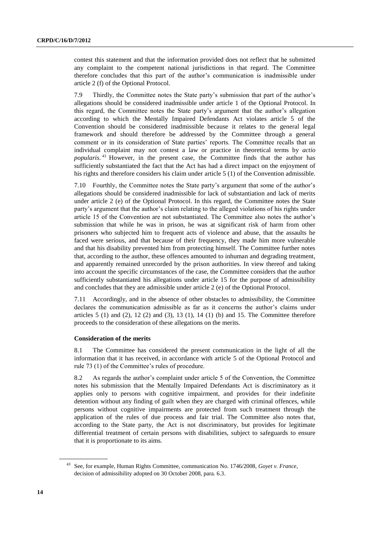contest this statement and that the information provided does not reflect that he submitted any complaint to the competent national jurisdictions in that regard. The Committee therefore concludes that this part of the author's communication is inadmissible under article 2 (f) of the Optional Protocol.

7.9 Thirdly, the Committee notes the State party's submission that part of the author's allegations should be considered inadmissible under article 1 of the Optional Protocol. In this regard, the Committee notes the State party's argument that the author's allegation according to which the Mentally Impaired Defendants Act violates article 5 of the Convention should be considered inadmissible because it relates to the general legal framework and should therefore be addressed by the Committee through a general comment or in its consideration of State parties' reports. The Committee recalls that an individual complaint may not contest a law or practice in theoretical terms by *actio popularis*. <sup>43</sup> However, in the present case, the Committee finds that the author has sufficiently substantiated the fact that the Act has had a direct impact on the enjoyment of his rights and therefore considers his claim under article 5 (1) of the Convention admissible.

7.10 Fourthly, the Committee notes the State party's argument that some of the author's allegations should be considered inadmissible for lack of substantiation and lack of merits under article 2 (e) of the Optional Protocol. In this regard, the Committee notes the State party's argument that the author's claim relating to the alleged violations of his rights under article 15 of the Convention are not substantiated. The Committee also notes the author's submission that while he was in prison, he was at significant risk of harm from other prisoners who subjected him to frequent acts of violence and abuse, that the assaults he faced were serious, and that because of their frequency, they made him more vulnerable and that his disability prevented him from protecting himself. The Committee further notes that, according to the author, these offences amounted to inhuman and degrading treatment, and apparently remained unrecorded by the prison authorities. In view thereof and taking into account the specific circumstances of the case, the Committee considers that the author sufficiently substantiated his allegations under article 15 for the purpose of admissibility and concludes that they are admissible under article 2 (e) of the Optional Protocol.

7.11 Accordingly, and in the absence of other obstacles to admissibility, the Committee declares the communication admissible as far as it concerns the author's claims under articles  $5(1)$  and  $(2)$ ,  $12(2)$  and  $(3)$ ,  $13(1)$ ,  $14(1)$  (b) and  $15$ . The Committee therefore proceeds to the consideration of these allegations on the merits.

#### **Consideration of the merits**

8.1 The Committee has considered the present communication in the light of all the information that it has received, in accordance with article 5 of the Optional Protocol and rule 73 (1) of the Committee's rules of procedure.

8.2 As regards the author's complaint under article 5 of the Convention, the Committee notes his submission that the Mentally Impaired Defendants Act is discriminatory as it applies only to persons with cognitive impairment, and provides for their indefinite detention without any finding of guilt when they are charged with criminal offences, while persons without cognitive impairments are protected from such treatment through the application of the rules of due process and fair trial. The Committee also notes that, according to the State party, the Act is not discriminatory, but provides for legitimate differential treatment of certain persons with disabilities, subject to safeguards to ensure that it is proportionate to its aims.

<sup>43</sup> See, for example, Human Rights Committee, communication No. 1746/2008, *Goyet v. France*, decision of admissibility adopted on 30 October 2008, para. 6.3.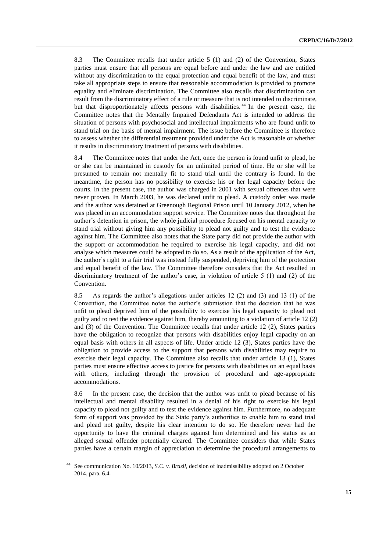8.3 The Committee recalls that under article 5 (1) and (2) of the Convention, States parties must ensure that all persons are equal before and under the law and are entitled without any discrimination to the equal protection and equal benefit of the law, and must take all appropriate steps to ensure that reasonable accommodation is provided to promote equality and eliminate discrimination. The Committee also recalls that discrimination can result from the discriminatory effect of a rule or measure that is not intended to discriminate, but that disproportionately affects persons with disabilities.<sup>44</sup> In the present case, the Committee notes that the Mentally Impaired Defendants Act is intended to address the situation of persons with psychosocial and intellectual impairments who are found unfit to stand trial on the basis of mental impairment. The issue before the Committee is therefore to assess whether the differential treatment provided under the Act is reasonable or whether it results in discriminatory treatment of persons with disabilities.

8.4 The Committee notes that under the Act, once the person is found unfit to plead, he or she can be maintained in custody for an unlimited period of time. He or she will be presumed to remain not mentally fit to stand trial until the contrary is found. In the meantime, the person has no possibility to exercise his or her legal capacity before the courts. In the present case, the author was charged in 2001 with sexual offences that were never proven. In March 2003, he was declared unfit to plead. A custody order was made and the author was detained at Greenough Regional Prison until 10 January 2012, when he was placed in an accommodation support service. The Committee notes that throughout the author's detention in prison, the whole judicial procedure focused on his mental capacity to stand trial without giving him any possibility to plead not guilty and to test the evidence against him. The Committee also notes that the State party did not provide the author with the support or accommodation he required to exercise his legal capacity, and did not analyse which measures could be adopted to do so. As a result of the application of the Act, the author's right to a fair trial was instead fully suspended, depriving him of the protection and equal benefit of the law. The Committee therefore considers that the Act resulted in discriminatory treatment of the author's case, in violation of article 5 (1) and (2) of the Convention.

8.5 As regards the author's allegations under articles 12 (2) and (3) and 13 (1) of the Convention, the Committee notes the author's submission that the decision that he was unfit to plead deprived him of the possibility to exercise his legal capacity to plead not guilty and to test the evidence against him, thereby amounting to a violation of article 12 (2) and (3) of the Convention. The Committee recalls that under article 12 (2), States parties have the obligation to recognize that persons with disabilities enjoy legal capacity on an equal basis with others in all aspects of life. Under article 12 (3), States parties have the obligation to provide access to the support that persons with disabilities may require to exercise their legal capacity. The Committee also recalls that under article 13 (1), States parties must ensure effective access to justice for persons with disabilities on an equal basis with others, including through the provision of procedural and age-appropriate accommodations.

8.6 In the present case, the decision that the author was unfit to plead because of his intellectual and mental disability resulted in a denial of his right to exercise his legal capacity to plead not guilty and to test the evidence against him. Furthermore, no adequate form of support was provided by the State party's authorities to enable him to stand trial and plead not guilty, despite his clear intention to do so. He therefore never had the opportunity to have the criminal charges against him determined and his status as an alleged sexual offender potentially cleared. The Committee considers that while States parties have a certain margin of appreciation to determine the procedural arrangements to

<sup>44</sup> See communication No. 10/2013, *S.C. v. Brazil*, decision of inadmissibility adopted on 2 October 2014, para. 6.4.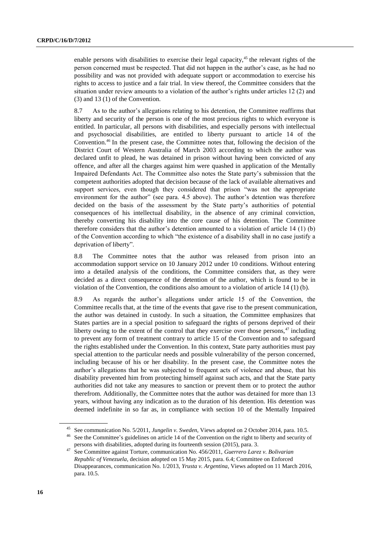enable persons with disabilities to exercise their legal capacity, $45$  the relevant rights of the person concerned must be respected. That did not happen in the author's case, as he had no possibility and was not provided with adequate support or accommodation to exercise his rights to access to justice and a fair trial. In view thereof, the Committee considers that the situation under review amounts to a violation of the author's rights under articles 12 (2) and (3) and 13 (1) of the Convention.

8.7 As to the author's allegations relating to his detention, the Committee reaffirms that liberty and security of the person is one of the most precious rights to which everyone is entitled. In particular, all persons with disabilities, and especially persons with intellectual and psychosocial disabilities, are entitled to liberty pursuant to article 14 of the Convention.<sup>46</sup> In the present case, the Committee notes that, following the decision of the District Court of Western Australia of March 2003 according to which the author was declared unfit to plead, he was detained in prison without having been convicted of any offence, and after all the charges against him were quashed in application of the Mentally Impaired Defendants Act. The Committee also notes the State party's submission that the competent authorities adopted that decision because of the lack of available alternatives and support services, even though they considered that prison "was not the appropriate environment for the author" (see para. 4.5 above). The author's detention was therefore decided on the basis of the assessment by the State party's authorities of potential consequences of his intellectual disability, in the absence of any criminal conviction, thereby converting his disability into the core cause of his detention. The Committee therefore considers that the author's detention amounted to a violation of article 14 (1) (b) of the Convention according to which "the existence of a disability shall in no case justify a deprivation of liberty".

8.8 The Committee notes that the author was released from prison into an accommodation support service on 10 January 2012 under 10 conditions. Without entering into a detailed analysis of the conditions, the Committee considers that, as they were decided as a direct consequence of the detention of the author, which is found to be in violation of the Convention, the conditions also amount to a violation of article 14 (1) (b).

8.9 As regards the author's allegations under article 15 of the Convention, the Committee recalls that, at the time of the events that gave rise to the present communication, the author was detained in custody. In such a situation, the Committee emphasizes that States parties are in a special position to safeguard the rights of persons deprived of their liberty owing to the extent of the control that they exercise over those persons, $47$  including to prevent any form of treatment contrary to article 15 of the Convention and to safeguard the rights established under the Convention. In this context, State party authorities must pay special attention to the particular needs and possible vulnerability of the person concerned, including because of his or her disability. In the present case, the Committee notes the author's allegations that he was subjected to frequent acts of violence and abuse, that his disability prevented him from protecting himself against such acts, and that the State party authorities did not take any measures to sanction or prevent them or to protect the author therefrom. Additionally, the Committee notes that the author was detained for more than 13 years, without having any indication as to the duration of his detention. His detention was deemed indefinite in so far as, in compliance with section 10 of the Mentally Impaired

<sup>45</sup> See communication No. 5/2011, *Jungelin v. Sweden*, Views adopted on 2 October 2014, para. 10.5.

See the Committee's guidelines on article 14 of the Convention on the right to liberty and security of persons with disabilities, adopted during its fourteenth session (2015), para. 3.

<sup>47</sup> See Committee against Torture, communication No. 456/2011, *Guerrero Larez v. Bolivarian Republic of Venezuela*, decision adopted on 15 May 2015, para. 6.4; Committee on Enforced Disappearances, communication No. 1/2013, *Yrusta v. Argentina*, Views adopted on 11 March 2016, para. 10.5.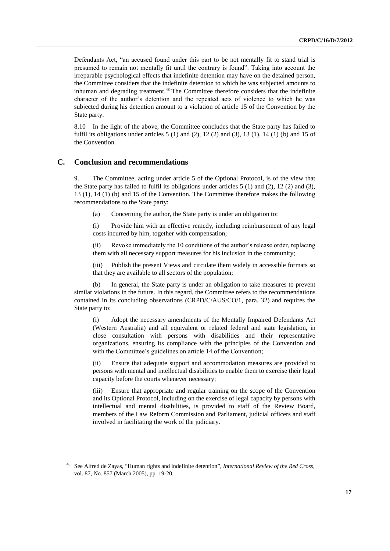Defendants Act, "an accused found under this part to be not mentally fit to stand trial is presumed to remain not mentally fit until the contrary is found". Taking into account the irreparable psychological effects that indefinite detention may have on the detained person, the Committee considers that the indefinite detention to which he was subjected amounts to inhuman and degrading treatment.<sup>48</sup> The Committee therefore considers that the indefinite character of the author's detention and the repeated acts of violence to which he was subjected during his detention amount to a violation of article 15 of the Convention by the State party.

8.10 In the light of the above, the Committee concludes that the State party has failed to fulfil its obligations under articles  $5(1)$  and  $(2)$ ,  $12(2)$  and  $(3)$ ,  $13(1)$ ,  $14(1)$  (b) and  $15$  of the Convention.

#### **C. Conclusion and recommendations**

9. The Committee, acting under article 5 of the Optional Protocol, is of the view that the State party has failed to fulfil its obligations under articles  $5(1)$  and  $(2)$ ,  $12(2)$  and  $(3)$ , 13 (1), 14 (1) (b) and 15 of the Convention. The Committee therefore makes the following recommendations to the State party:

(a) Concerning the author, the State party is under an obligation to:

(i) Provide him with an effective remedy, including reimbursement of any legal costs incurred by him, together with compensation;

(ii) Revoke immediately the 10 conditions of the author's release order, replacing them with all necessary support measures for his inclusion in the community;

(iii) Publish the present Views and circulate them widely in accessible formats so that they are available to all sectors of the population;

(b) In general, the State party is under an obligation to take measures to prevent similar violations in the future. In this regard, the Committee refers to the recommendations contained in its concluding observations (CRPD/C/AUS/CO/1, para. 32) and requires the State party to:

(i) Adopt the necessary amendments of the Mentally Impaired Defendants Act (Western Australia) and all equivalent or related federal and state legislation, in close consultation with persons with disabilities and their representative organizations, ensuring its compliance with the principles of the Convention and with the Committee's guidelines on article 14 of the Convention;

(ii) Ensure that adequate support and accommodation measures are provided to persons with mental and intellectual disabilities to enable them to exercise their legal capacity before the courts whenever necessary;

(iii) Ensure that appropriate and regular training on the scope of the Convention and its Optional Protocol, including on the exercise of legal capacity by persons with intellectual and mental disabilities, is provided to staff of the Review Board, members of the Law Reform Commission and Parliament, judicial officers and staff involved in facilitating the work of the judiciary.

<sup>48</sup> See Alfred de Zayas, "Human rights and indefinite detention", *International Review of the Red Cross*, vol. 87, No. 857 (March 2005), pp. 19-20.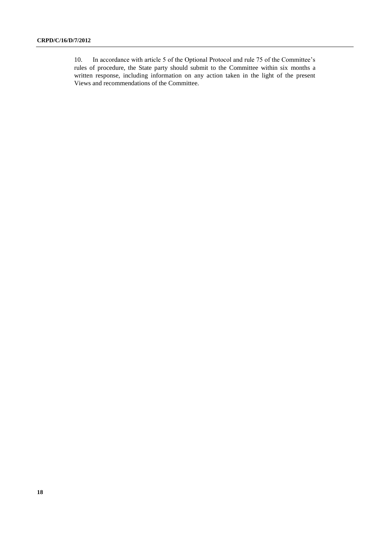10. In accordance with article 5 of the Optional Protocol and rule 75 of the Committee's rules of procedure, the State party should submit to the Committee within six months a written response, including information on any action taken in the light of the present Views and recommendations of the Committee.